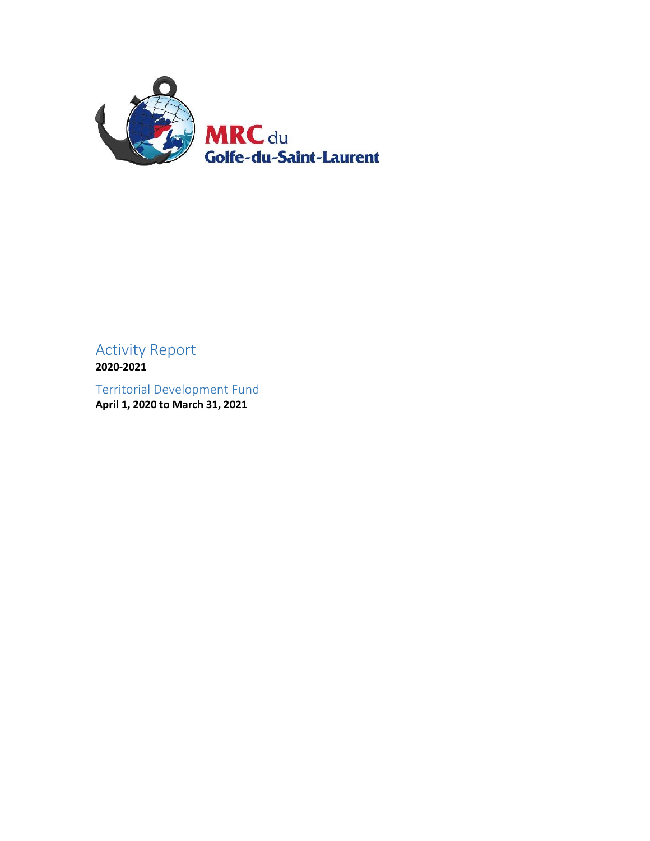

# Activity Report **2020-2021**

Territorial Development Fund **April 1, 2020 to March 31, 2021**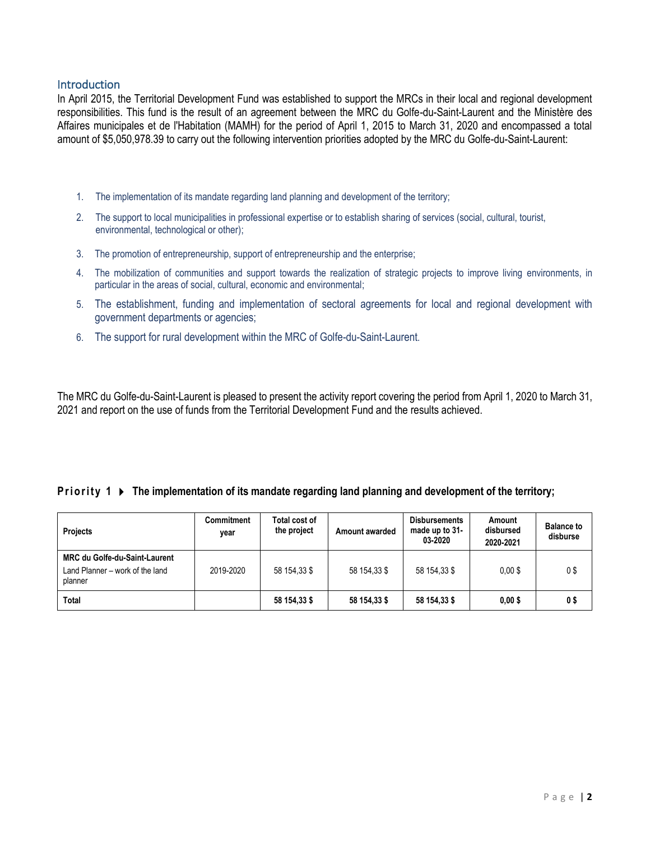### **Introduction**

In April 2015, the Territorial Development Fund was established to support the MRCs in their local and regional development responsibilities. This fund is the result of an agreement between the MRC du Golfe-du-Saint-Laurent and the Ministère des Affaires municipales et de l'Habitation (MAMH) for the period of April 1, 2015 to March 31, 2020 and encompassed a total amount of \$5,050,978.39 to carry out the following intervention priorities adopted by the MRC du Golfe-du-Saint-Laurent:

- 1. The implementation of its mandate regarding land planning and development of the territory;
- 2. The support to local municipalities in professional expertise or to establish sharing of services (social, cultural, tourist, environmental, technological or other);
- 3. The promotion of entrepreneurship, support of entrepreneurship and the enterprise;
- 4. The mobilization of communities and support towards the realization of strategic projects to improve living environments, in particular in the areas of social, cultural, economic and environmental;
- 5. The establishment, funding and implementation of sectoral agreements for local and regional development with government departments or agencies;
- 6. The support for rural development within the MRC of Golfe-du-Saint-Laurent.

The MRC du Golfe-du-Saint-Laurent is pleased to present the activity report covering the period from April 1, 2020 to March 31, 2021 and report on the use of funds from the Territorial Development Fund and the results achieved.

#### **Priority 1**  $\triangleright$  The implementation of its mandate regarding land planning and development of the territory;

| <b>Projects</b>                                                             | <b>Commitment</b><br>vear | Total cost of<br>the project | Amount awarded | <b>Disbursements</b><br>made up to 31-<br>03-2020 | Amount<br>disbursed<br>2020-2021 | <b>Balance to</b><br>disburse |
|-----------------------------------------------------------------------------|---------------------------|------------------------------|----------------|---------------------------------------------------|----------------------------------|-------------------------------|
| MRC du Golfe-du-Saint-Laurent<br>Land Planner - work of the land<br>planner | 2019-2020                 | 58 154.33 \$                 | 58 154.33 \$   | 58 154.33 \$                                      | $0.00$ \$                        | 0\$                           |
| Total                                                                       |                           | 58 154,33 \$                 | 58 154,33 \$   | 58 154,33 \$                                      | $0,00$ \$                        | 0\$                           |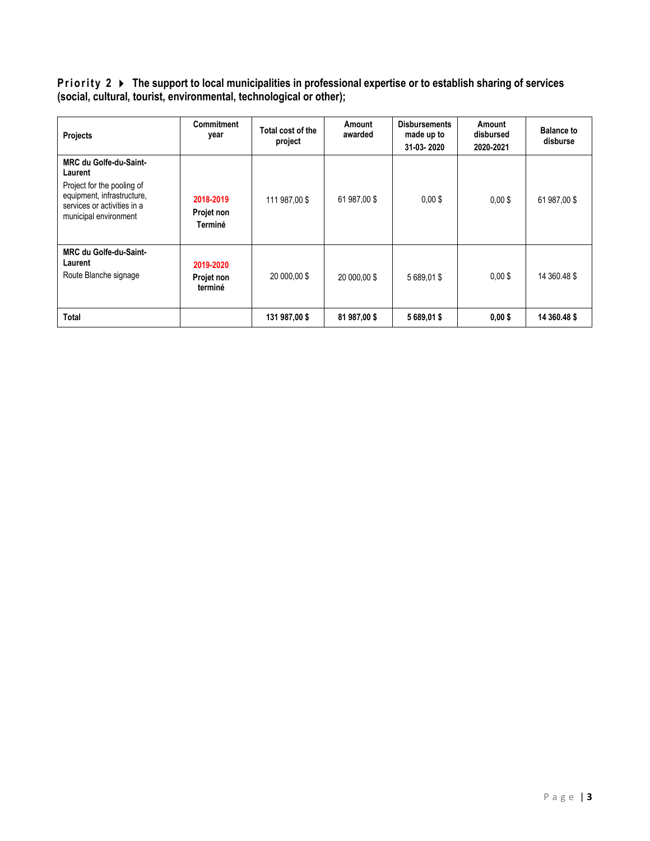**Priority 2 ▶ The support to local municipalities in professional expertise or to establish sharing of services (social, cultural, tourist, environmental, technological or other);**

| Projects                                                                                                                                                     | <b>Commitment</b><br>year          | Total cost of the<br>project | Amount<br>awarded | <b>Disbursements</b><br>made up to<br>31-03-2020 | Amount<br>disbursed<br>2020-2021 | <b>Balance to</b><br>disburse |
|--------------------------------------------------------------------------------------------------------------------------------------------------------------|------------------------------------|------------------------------|-------------------|--------------------------------------------------|----------------------------------|-------------------------------|
| <b>MRC du Golfe-du-Saint-</b><br>Laurent<br>Project for the pooling of<br>equipment, infrastructure,<br>services or activities in a<br>municipal environment | 2018-2019<br>Projet non<br>Terminé | 111 987,00 \$                | 61 987,00 \$      | $0.00$ \$                                        | $0.00$ \$                        | 61 987,00 \$                  |
| <b>MRC du Golfe-du-Saint-</b><br>Laurent<br>Route Blanche signage                                                                                            | 2019-2020<br>Projet non<br>terminé | 20 000,00 \$                 | 20 000.00 \$      | 5 689.01 \$                                      | $0.00$ \$                        | 14 360.48 \$                  |
| <b>Total</b>                                                                                                                                                 |                                    | 131 987,00 \$                | 81 987,00 \$      | 5 689,01 \$                                      | $0,00$ \$                        | 14 360.48 \$                  |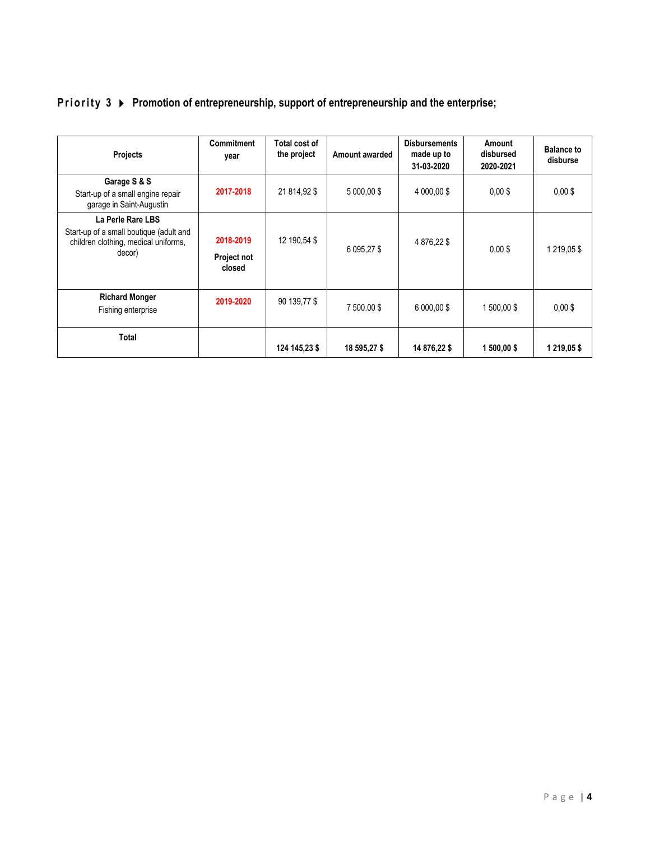| <b>Projects</b>                                                                                                | <b>Commitment</b><br>year | Total cost of<br>the project | Amount awarded | <b>Disbursements</b><br>made up to<br>31-03-2020 | Amount<br>disbursed<br>2020-2021 | <b>Balance to</b><br>disburse |
|----------------------------------------------------------------------------------------------------------------|---------------------------|------------------------------|----------------|--------------------------------------------------|----------------------------------|-------------------------------|
| Garage S & S<br>Start-up of a small engine repair<br>garage in Saint-Augustin                                  | 2017-2018                 | 21 814,92 \$                 | 5 000.00 \$    | 4 000.00 \$                                      | $0.00$ \$                        | $0,00$ \$                     |
| La Perle Rare LBS<br>Start-up of a small boutique (adult and<br>children clothing, medical uniforms,<br>decor) | 2018-2019<br>Desiast nat  | 12 190,54 \$                 | 6 095,27 \$    | 4 876,22 \$                                      | $0.00$ \$                        | 1 219,05 \$                   |

**2019-2020** | 90 139,77 \$ | 7 500.00 \$ | 6 000,00 \$ | 1 500,00 \$ | 0,00 \$

**124 145,23 \$ 18 595,27 \$ 14 876,22 \$ 1 500,00 \$ 1 219,05 \$**

## **Priority 3**  $\triangleright$  Promotion of entrepreneurship, support of entrepreneurship and the enterprise;

**Project not closed**

**Richard Monger** Fishing enterprise

**Total**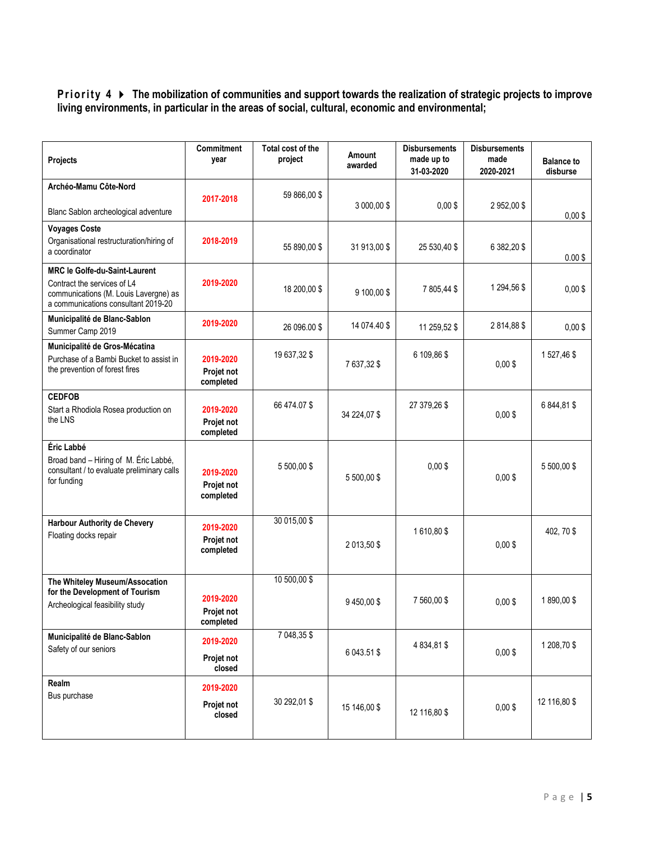### **Priority 4**  $\triangleright$  **The mobilization of communities and support towards the realization of strategic projects to improve living environments, in particular in the areas of social, cultural, economic and environmental;**

| Projects                                                                                                                                            | Commitment<br>year                          | Total cost of the<br>project | Amount<br>awarded | <b>Disbursements</b><br>made up to<br>31-03-2020 | <b>Disbursements</b><br>made<br>2020-2021 | <b>Balance to</b><br>disburse |
|-----------------------------------------------------------------------------------------------------------------------------------------------------|---------------------------------------------|------------------------------|-------------------|--------------------------------------------------|-------------------------------------------|-------------------------------|
| Archéo-Mamu Côte-Nord                                                                                                                               |                                             | 59 866,00 \$                 |                   |                                                  |                                           |                               |
| Blanc Sablon archeological adventure                                                                                                                | 2017-2018                                   |                              | 3 000,00 \$       | $0,00$ \$                                        | 2 952,00 \$                               | $0,00$ \$                     |
| <b>Voyages Coste</b><br>Organisational restructuration/hiring of<br>a coordinator                                                                   | 2018-2019                                   | 55 890,00 \$                 | 31 913.00 \$      | 25 530,40 \$                                     | 6 382,20 \$                               | $0.00$ \$                     |
| <b>MRC le Golfe-du-Saint-Laurent</b><br>Contract the services of L4<br>communications (M. Louis Lavergne) as<br>a communications consultant 2019-20 | 2019-2020                                   | 18 200,00 \$                 | 9 100,00 \$       | 7805,44\$                                        | 1 294,56 \$                               | $0,00$ \$                     |
| Municipalité de Blanc-Sablon<br>Summer Camp 2019                                                                                                    | 2019-2020                                   | 26 096.00 \$                 | 14 074.40 \$      | 11 259,52 \$                                     | 2814,88\$                                 | $0,00$ \$                     |
| Municipalité de Gros-Mécatina<br>Purchase of a Bambi Bucket to assist in<br>the prevention of forest fires                                          | 2019-2020<br>Projet not<br>completed        | 19 637,32 \$                 | 7 637,32 \$       | 6 109,86 \$                                      | $0.00$ \$                                 | 1527,46\$                     |
| <b>CEDFOB</b><br>Start a Rhodiola Rosea production on<br>the LNS                                                                                    | 2019-2020<br>Projet not<br>completed        | 66 474.07 \$                 | 34 224,07 \$      | 27 379,26 \$                                     | $0,00$ \$                                 | 6 844,81 \$                   |
| Éric Labbé<br>Broad band - Hiring of M. Éric Labbé,<br>consultant / to evaluate preliminary calls<br>for funding                                    | 2019-2020<br>Projet not<br>completed        | 5 500,00 \$                  | 5 500,00 \$       | $0,00$ \$                                        | $0,00$ \$                                 | 5 500,00 \$                   |
| Harbour Authority de Chevery<br>Floating docks repair                                                                                               | 2019-2020<br>Projet not<br>completed        | 30 015,00 \$                 | 2 013,50 \$       | 1610,80\$                                        | $0,00$ \$                                 | 402, 70\$                     |
| The Whiteley Museum/Assocation<br>for the Development of Tourism<br>Archeological feasibility study                                                 | 2019-2020<br><b>Projet not</b><br>completed | 10 500,00 \$                 | 9 450,00 \$       | 7 560,00 \$                                      | $0,00$ \$                                 | 1890,00\$                     |
| Municipalité de Blanc-Sablon<br>Safety of our seniors                                                                                               | 2019-2020<br>Projet not<br>closed           | 7 048,35 \$                  | 6 043.51 \$       | 4 834,81 \$                                      | $0,00$ \$                                 | 1 208,70 \$                   |
| Realm<br>Bus purchase                                                                                                                               | 2019-2020<br>Projet not<br>closed           | 30 292,01 \$                 | 15 146,00 \$      | 12 116,80 \$                                     | $0,00$ \$                                 | 12 116,80 \$                  |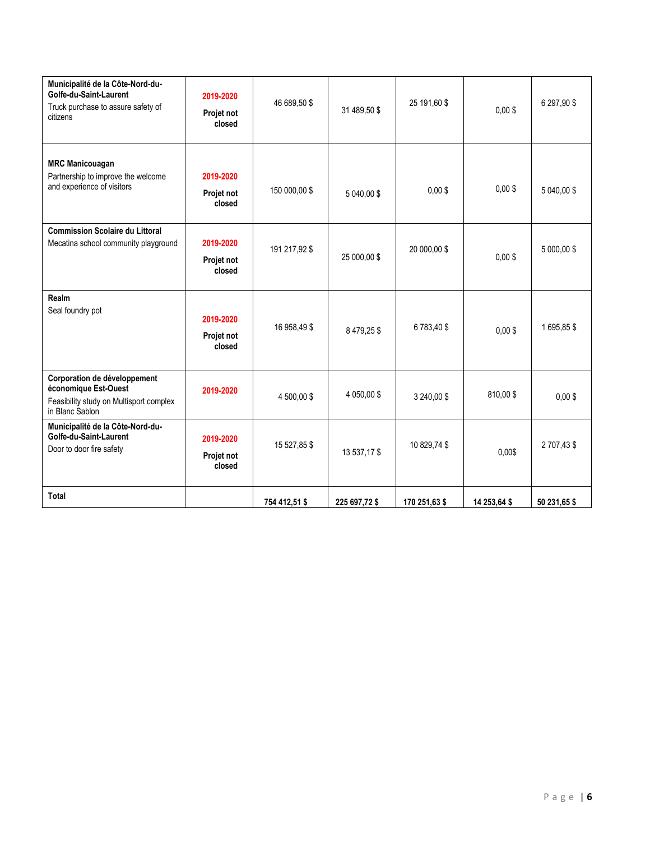| Municipalité de la Côte-Nord-du-<br>Golfe-du-Saint-Laurent<br>Truck purchase to assure safety of<br>citizens       | 2019-2020<br>Projet not<br>closed | 46 689,50 \$  | 31 489,50 \$  | 25 191,60 \$  | $0.00$ \$    | 6 297,90 \$  |
|--------------------------------------------------------------------------------------------------------------------|-----------------------------------|---------------|---------------|---------------|--------------|--------------|
| <b>MRC Manicouagan</b><br>Partnership to improve the welcome<br>and experience of visitors                         | 2019-2020<br>Projet not<br>closed | 150 000,00 \$ | 5 040,00 \$   | $0,00$ \$     | $0,00$ \$    | 5 040,00 \$  |
| <b>Commission Scolaire du Littoral</b><br>Mecatina school community playground                                     | 2019-2020<br>Projet not<br>closed | 191 217,92 \$ | 25 000,00 \$  | 20 000,00 \$  | $0,00$ \$    | 5 000,00 \$  |
| Realm<br>Seal foundry pot                                                                                          | 2019-2020<br>Projet not<br>closed | 16 958,49 \$  | 8479,25\$     | 6783,40\$     | $0,00$ \$    | 1695,85\$    |
| Corporation de développement<br>économique Est-Ouest<br>Feasibility study on Multisport complex<br>in Blanc Sablon | 2019-2020                         | 4 500,00 \$   | 4 050,00\$    | 3 240,00 \$   | 810,00\$     | $0.00$ \$    |
| Municipalité de la Côte-Nord-du-<br>Golfe-du-Saint-Laurent<br>Door to door fire safety                             | 2019-2020<br>Projet not<br>closed | 15 527,85 \$  | 13 537,17 \$  | 10 829,74 \$  | 0,00\$       | 2 707,43 \$  |
| Total                                                                                                              |                                   | 754 412,51 \$ | 225 697,72 \$ | 170 251,63 \$ | 14 253,64 \$ | 50 231,65 \$ |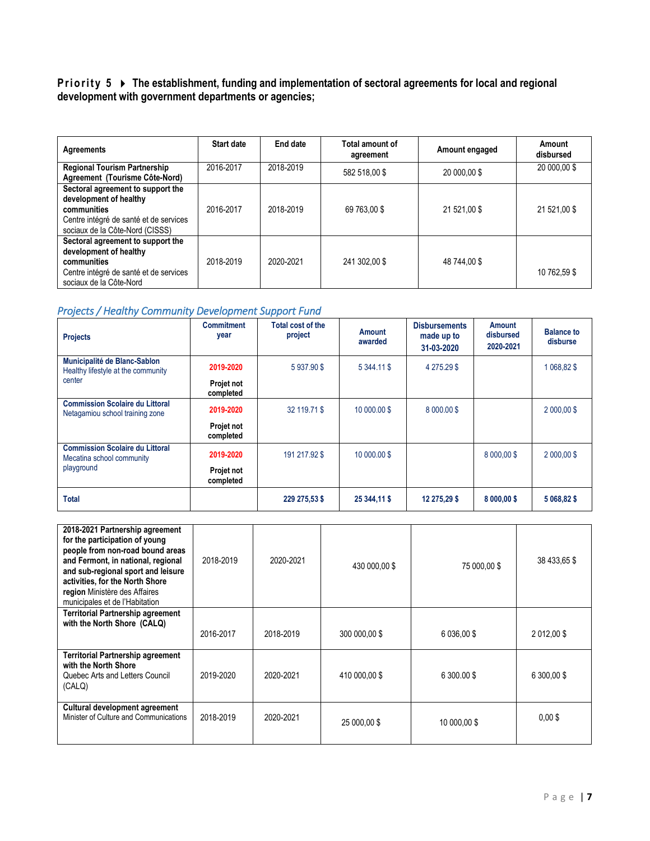#### **Priority 5** ▶ The establishment, funding and implementation of sectoral agreements for local and regional **development with government departments or agencies;**

| <b>Agreements</b>                                                                                                                                       | Start date | End date  | Total amount of<br>agreement | Amount engaged | Amount<br>disbursed |
|---------------------------------------------------------------------------------------------------------------------------------------------------------|------------|-----------|------------------------------|----------------|---------------------|
| <b>Regional Tourism Partnership</b><br>Agreement (Tourisme Côte-Nord)                                                                                   | 2016-2017  | 2018-2019 | 582 518,00 \$                | 20 000,00 \$   | 20 000,00 \$        |
| Sectoral agreement to support the<br>development of healthy<br>communities<br>Centre intégré de santé et de services<br>sociaux de la Côte-Nord (CISSS) | 2016-2017  | 2018-2019 | 69 763.00 \$                 | 21 521.00 \$   | 21 521,00 \$        |
| Sectoral agreement to support the<br>development of healthy<br>communities<br>Centre intégré de santé et de services<br>sociaux de la Côte-Nord         | 2018-2019  | 2020-2021 | 241 302.00 \$                | 48 744,00 \$   | 10 762.59 \$        |

### *Projects / Healthy Community Development Support Fund*

| <b>Projects</b>                                                           | <b>Commitment</b><br>year | Total cost of the<br>project | Amount<br>awarded | <b>Disbursements</b><br>made up to<br>31-03-2020 | Amount<br>disbursed<br>2020-2021 | <b>Balance to</b><br>disburse |
|---------------------------------------------------------------------------|---------------------------|------------------------------|-------------------|--------------------------------------------------|----------------------------------|-------------------------------|
| Municipalité de Blanc-Sablon<br>Healthy lifestyle at the community        | 2019-2020                 | 5937.90\$                    | 5 344.11 \$       | 4 275.29 \$                                      |                                  | 1 068.82 \$                   |
| center                                                                    | Projet not<br>completed   |                              |                   |                                                  |                                  |                               |
| <b>Commission Scolaire du Littoral</b><br>Netagamiou school training zone | 2019-2020                 | 32 119.71 \$                 | 10 000.00 \$      | 8 000.00 \$                                      |                                  | 2 000,00\$                    |
|                                                                           | Projet not<br>completed   |                              |                   |                                                  |                                  |                               |
| <b>Commission Scolaire du Littoral</b><br>Mecatina school community       | 2019-2020                 | 191 217.92 \$                | 10 000.00 \$      |                                                  | 8 000.00 \$                      | $2000,00$ \$                  |
| playground                                                                | Projet not<br>completed   |                              |                   |                                                  |                                  |                               |
| Total                                                                     |                           | 229 275,53 \$                | 25 344,11 \$      | 12 275,29 \$                                     | 8 000,00 \$                      | 5 068,82 \$                   |

| 2018-2021 Partnership agreement<br>for the participation of young<br>people from non-road bound areas<br>and Fermont, in national, regional<br>and sub-regional sport and leisure<br>activities, for the North Shore<br>region Ministère des Affaires<br>municipales et de l'Habitation | 2018-2019 | 2020-2021 | 430 000,00 \$ | 75 000,00 \$ | 38 433,65 \$ |
|-----------------------------------------------------------------------------------------------------------------------------------------------------------------------------------------------------------------------------------------------------------------------------------------|-----------|-----------|---------------|--------------|--------------|
| Territorial Partnership agreement<br>with the North Shore (CALQ)                                                                                                                                                                                                                        | 2016-2017 | 2018-2019 | 300 000,00 \$ | 6 036,00 \$  | 2 012,00 \$  |
| <b>Territorial Partnership agreement</b><br>with the North Shore<br>Quebec Arts and Letters Council<br>(CALQ)                                                                                                                                                                           | 2019-2020 | 2020-2021 | 410 000,00 \$ | 6 300,00 \$  | 6 300,00 \$  |
| Cultural development agreement<br>Minister of Culture and Communications                                                                                                                                                                                                                | 2018-2019 | 2020-2021 | 25 000,00 \$  | 10 000.00 \$ | $0,00$ \$    |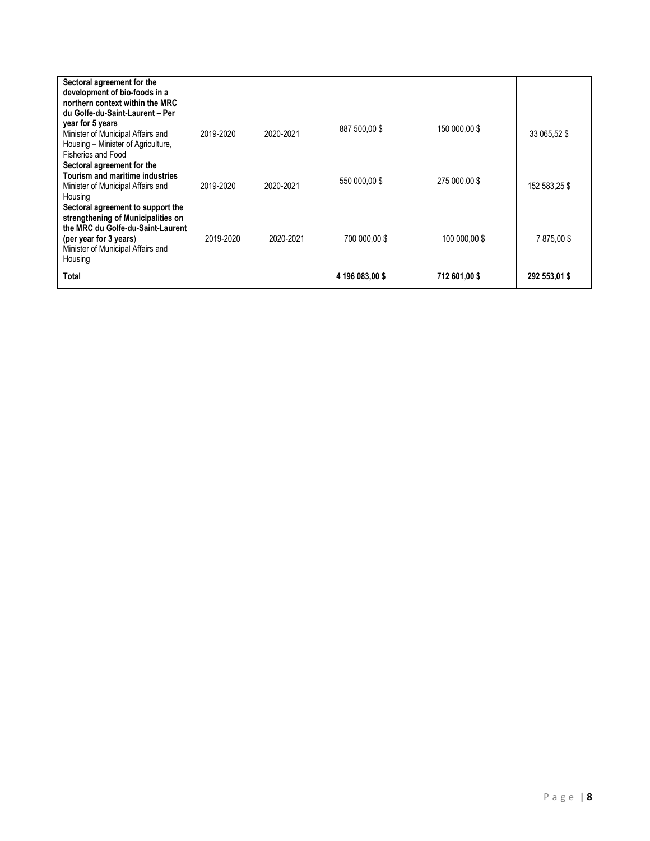| Sectoral agreement for the<br>development of bio-foods in a<br>northern context within the MRC<br>du Golfe-du-Saint-Laurent - Per<br>year for 5 years<br>Minister of Municipal Affairs and<br>Housing - Minister of Agriculture,<br>Fisheries and Food | 2019-2020 | 2020-2021 | 887 500,00\$    | 150 000,00\$  | 33 065,52 \$  |
|--------------------------------------------------------------------------------------------------------------------------------------------------------------------------------------------------------------------------------------------------------|-----------|-----------|-----------------|---------------|---------------|
| Sectoral agreement for the<br>Tourism and maritime industries<br>Minister of Municipal Affairs and<br>Housing                                                                                                                                          | 2019-2020 | 2020-2021 | 550 000,00 \$   | 275 000,00\$  | 152 583.25 \$ |
| Sectoral agreement to support the<br>strengthening of Municipalities on<br>the MRC du Golfe-du-Saint-Laurent<br>(per year for 3 years)<br>Minister of Municipal Affairs and<br>Housing                                                                 | 2019-2020 | 2020-2021 | 700 000.00 \$   | 100 000.00 \$ | 7875.00\$     |
| Total                                                                                                                                                                                                                                                  |           |           | 4 196 083,00 \$ | 712 601,00 \$ | 292 553,01 \$ |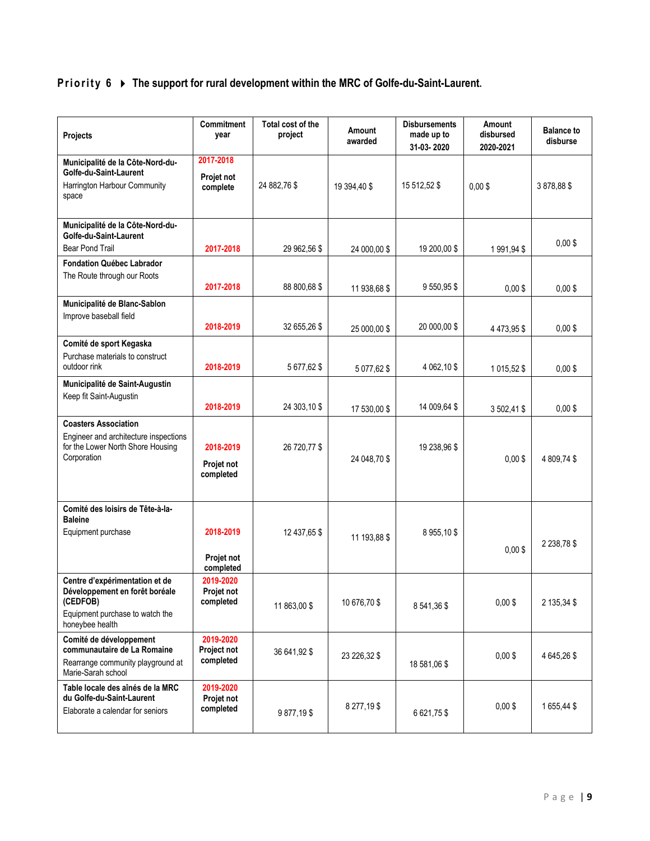# **Priority 6**  $\rightarrow$  **The support for rural development within the MRC of Golfe-du-Saint-Laurent.**

| Projects                                                                                                                           | Commitment<br>year                    | Total cost of the<br>project | Amount<br>awarded | <b>Disbursements</b><br>made up to<br>31-03-2020 | Amount<br>disbursed<br>2020-2021 | <b>Balance to</b><br>disburse |
|------------------------------------------------------------------------------------------------------------------------------------|---------------------------------------|------------------------------|-------------------|--------------------------------------------------|----------------------------------|-------------------------------|
| Municipalité de la Côte-Nord-du-<br>Golfe-du-Saint-Laurent<br>Harrington Harbour Community<br>space                                | 2017-2018<br>Projet not<br>complete   | 24 882,76 \$                 | 19 394,40 \$      | 15 512,52 \$                                     | $0,00$ \$                        | 3878,88\$                     |
| Municipalité de la Côte-Nord-du-<br>Golfe-du-Saint-Laurent<br><b>Bear Pond Trail</b>                                               | 2017-2018                             | 29 962,56 \$                 | 24 000,00 \$      | 19 200,00 \$                                     | 1991,94\$                        | $0,00$ \$                     |
| <b>Fondation Québec Labrador</b><br>The Route through our Roots                                                                    | 2017-2018                             | 88 800,68 \$                 | 11 938,68 \$      | 9 550,95 \$                                      | $0,00$ \$                        | $0,00$ \$                     |
| Municipalité de Blanc-Sablon<br>Improve baseball field                                                                             | 2018-2019                             | 32 655.26 \$                 | 25 000,00 \$      | 20 000,00 \$                                     | 4 473,95 \$                      | $0,00$ \$                     |
| Comité de sport Kegaska<br>Purchase materials to construct<br>outdoor rink                                                         | 2018-2019                             | 5 677,62 \$                  | 5 077,62 \$       | 4 062,10 \$                                      | 1 015,52 \$                      | $0.00$ \$                     |
| Municipalité de Saint-Augustin<br>Keep fit Saint-Augustin                                                                          | 2018-2019                             | 24 303,10 \$                 | 17 530,00 \$      | 14 009.64 \$                                     | 3 502,41 \$                      | $0.00$ \$                     |
| <b>Coasters Association</b><br>Engineer and architecture inspections<br>for the Lower North Shore Housing<br>Corporation           | 2018-2019<br>Projet not<br>completed  | 26 720,77 \$                 | 24 048,70 \$      | 19 238,96 \$                                     | $0,00$ \$                        | 4 809,74 \$                   |
| Comité des loisirs de Tête-à-la-<br><b>Baleine</b><br>Equipment purchase                                                           | 2018-2019<br>Projet not<br>completed  | 12 437,65 \$                 | 11 193,88 \$      | 8955,10\$                                        | $0,00$ \$                        | 2 2 38,78 \$                  |
| Centre d'expérimentation et de<br>Développement en forêt boréale<br>(CEDFOB)<br>Equipment purchase to watch the<br>honeybee health | 2019-2020<br>Projet not<br>completed  | 11 863,00 \$                 | 10 676,70 \$      | 8541,36\$                                        | $0,00$ \$                        | 2 135,34 \$                   |
| Comité de développement<br>communautaire de La Romaine<br>Rearrange community playground at<br>Marie-Sarah school                  | 2019-2020<br>Project not<br>completed | 36 641,92 \$                 | 23 226,32 \$      | 18 581,06 \$                                     | $0,00$ \$                        | 4 645,26 \$                   |
| Table locale des aînés de la MRC<br>du Golfe-du-Saint-Laurent<br>Elaborate a calendar for seniors                                  | 2019-2020<br>Projet not<br>completed  | 9877,19\$                    | 8 277,19 \$       | 6 621,75 \$                                      | $0,00$ \$                        | 1655,44\$                     |